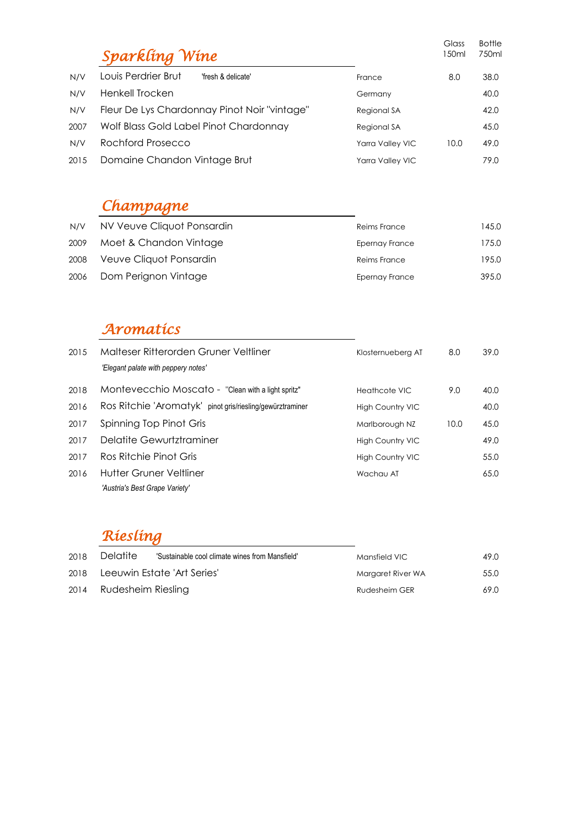|      | Sparkling Wine                               |                  | Glass<br>150ml | <b>Bottle</b><br>750ml |
|------|----------------------------------------------|------------------|----------------|------------------------|
| N/V  | Louis Perdrier Brut<br>'fresh & delicate'    | France           | 8.0            | 38.0                   |
| N/V  | Henkell Trocken                              | Germany          |                | 40.0                   |
| N/V  | Fleur De Lys Chardonnay Pinot Noir "vintage" | Regional SA      |                | 42.0                   |
| 2007 | Wolf Blass Gold Label Pinot Chardonnay       | Regional SA      |                | 45.0                   |
| N/V  | Rochford Prosecco                            | Yarra Valley VIC | 10.0           | 49.0                   |
| 2015 | Domaine Chandon Vintage Brut                 | Yarra Valley VIC |                | 79.0                   |

## *Champagne*

| N/V  | NV Veuve Cliquot Ponsardin | Reims France   | 145.0 |
|------|----------------------------|----------------|-------|
| 2009 | Moet & Chandon Vintage     | Epernay France | 175.0 |
| 2008 | Veuve Cliquot Ponsardin    | Reims France   | 195.0 |
|      | 2006 Dom Perignon Vintage  | Epernay France | 395.0 |

# *Aromatics*

| 2015 | Malteser Ritterorden Gruner Veltliner<br>'Elegant palate with peppery notes' | Klosternueberg AT       | 8.0  | 39.0 |
|------|------------------------------------------------------------------------------|-------------------------|------|------|
| 2018 | Montevecchio Moscato - "Clean with a light spritz"                           | Heathcote VIC           | 9.0  | 40.0 |
| 2016 | Ros Ritchie 'Aromatyk' pinot gris/riesling/gewürztraminer                    | <b>High Country VIC</b> |      | 40.0 |
| 2017 | Spinning Top Pinot Gris                                                      | Marlborough NZ          | 10.0 | 45.0 |
| 2017 | Delatite Gewurtztraminer                                                     | <b>High Country VIC</b> |      | 49.0 |
| 2017 | Ros Ritchie Pinot Gris                                                       | <b>High Country VIC</b> |      | 55.0 |
| 2016 | <b>Hutter Gruner Veltliner</b>                                               | Wachau AT               |      | 65.0 |
|      | 'Austria's Best Grape Variety'                                               |                         |      |      |

### *Riesling*

| 2018 | Delatite           | 'Sustainable cool climate wines from Mansfield' | Mansfield VIC     | 49.0 |
|------|--------------------|-------------------------------------------------|-------------------|------|
| 2018 |                    | Leeuwin Estate 'Art Series'                     | Margaret River WA | 55.0 |
| 2014 | Rudesheim Riesling |                                                 | Rudesheim GER     | 69.0 |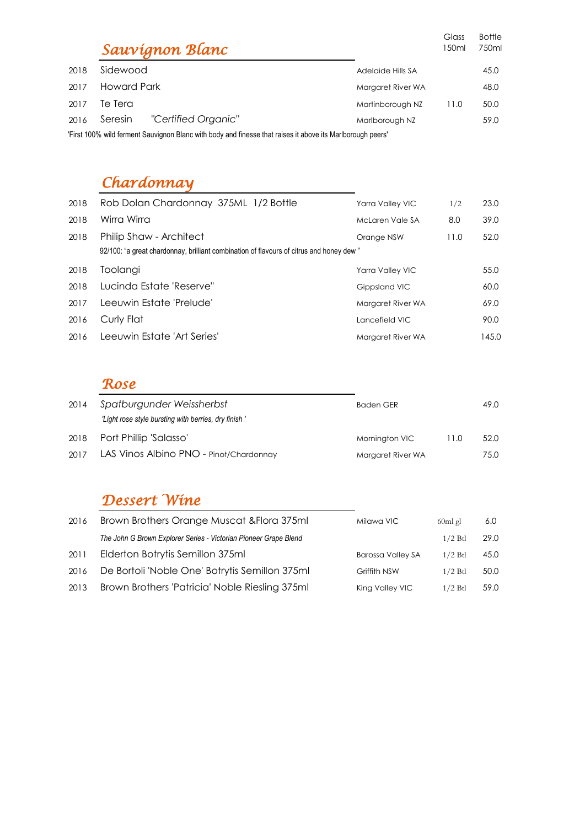|      |                                                                                                            | Sauvígnon Blanc     |                   | Glass<br>150ml | <b>Bottle</b><br>750ml |
|------|------------------------------------------------------------------------------------------------------------|---------------------|-------------------|----------------|------------------------|
| 2018 | Sidewood                                                                                                   |                     | Adelaide Hills SA |                | 45.0                   |
| 2017 | Howard Park                                                                                                |                     | Margaret River WA |                | 48.0                   |
| 2017 | Te Tera                                                                                                    |                     | Martinborough NZ  | 11.0           | 50.0                   |
| 2016 | Seresin                                                                                                    | "Certified Organic" | Marlborough NZ    |                | 59.0                   |
|      | 'First 100% wild ferment Sauvignon Blanc with body and finesse that raises it above its Marlborough peers' |                     |                   |                |                        |

## *Chardonnay*

| 2018 | Rob Dolan Chardonnay 375ML 1/2 Bottle                                                   | Yarra Valley VIC  | 1/2  | 23.0  |
|------|-----------------------------------------------------------------------------------------|-------------------|------|-------|
| 2018 | Wirra Wirra                                                                             | McLaren Vale SA   | 8.0  | 39.0  |
| 2018 | Philip Shaw - Architect                                                                 | Orange NSW        | 11.0 | 52.0  |
|      | 92/100: "a great chardonnay, brilliant combination of flavours of citrus and honey dew" |                   |      |       |
| 2018 | Toolangi                                                                                | Yarra Valley VIC  |      | 55.0  |
| 2018 | Lucinda Estate 'Reserve"                                                                | Gippsland VIC     |      | 60.0  |
| 2017 | Leeuwin Estate 'Prelude'                                                                | Margaret River WA |      | 69.0  |
| 2016 | Curly Flat                                                                              | Lancefield VIC    |      | 90.0  |
| 2016 | Leeuwin Estate 'Art Series'                                                             | Margaret River WA |      | 145.0 |

#### *Rose*

| 2014 | Spatburgunder Weissherbst<br>"Light rose style bursting with berries, dry finish" | <b>Baden GER</b>  |      | 49.0 |
|------|-----------------------------------------------------------------------------------|-------------------|------|------|
| 2018 | Port Phillip 'Salasso'                                                            | Mornington VIC    | 11.0 | 52.0 |
| 2017 | LAS Vinos Albino PNO - Pinot/Chardonnay                                           | Margaret River WA |      | 75.0 |

#### *Dessert Wine*

| 2016 | Brown Brothers Orange Muscat & Flora 375ml                       | Milawa VIC               | 60ml gl   | 6.0  |
|------|------------------------------------------------------------------|--------------------------|-----------|------|
|      | The John G Brown Explorer Series - Victorian Pioneer Grape Blend |                          | $1/2$ Btl | 29.0 |
| 2011 | Elderton Botrytis Semillon 375ml                                 | <b>Barossa Valley SA</b> | $1/2$ Btl | 45.0 |
| 2016 | De Bortoli 'Noble One' Botrytis Semillon 375ml                   | Griffith NSW             | $1/2$ Btl | 50.0 |
| 2013 | Brown Brothers 'Patricia' Noble Riesling 375ml                   | King Valley VIC          | $1/2$ Btl | 59.0 |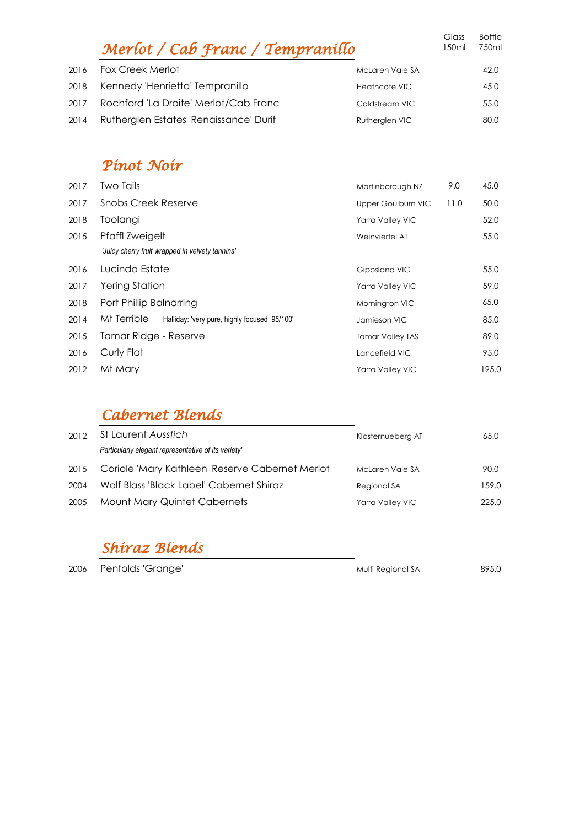|      | Merlot / Cab Franc / Tempranillo       |                      | Glass<br>150ml | <b>Bottle</b><br>750ml |
|------|----------------------------------------|----------------------|----------------|------------------------|
| 2016 | <b>Fox Creek Merlot</b>                | McLaren Vale SA      |                | 42.0                   |
|      | 2018 Kennedy 'Henrietta' Tempranillo   | <b>Heathcote VIC</b> |                | 45.0                   |
| 2017 | Rochford 'La Droite' Merlot/Cab Franc  | Coldstream VIC       |                | 55.0                   |
| 2014 | Rutherglen Estates 'Renaissance' Durif | Rutherglen VIC       |                | 80.0                   |
|      |                                        |                      |                |                        |

#### *Pinot Noir*

| 2017 | <b>Two Tails</b>                                            | Martinborough NZ        | 9.0  | 45.0  |
|------|-------------------------------------------------------------|-------------------------|------|-------|
| 2017 | Snobs Creek Reserve                                         | Upper Goulburn VIC      | 11.0 | 50.0  |
| 2018 | Toolangi                                                    | Yarra Valley VIC        |      | 52.0  |
| 2015 | Pfaffl Zweigelt                                             | Weinviertel AT          |      | 55.0  |
|      | 'Juicy cherry fruit wrapped in velvety tannins'             |                         |      |       |
| 2016 | Lucinda Estate                                              | Gippsland VIC           |      | 55.0  |
| 2017 | Yering Station                                              | Yarra Valley VIC        |      | 59.0  |
| 2018 | Port Phillip Balnarring                                     | Mornington VIC          |      | 65.0  |
| 2014 | Mt Terrible<br>Halliday: 'very pure, highly focused 95/100' | Jamieson VIC            |      | 85.0  |
| 2015 | Tamar Ridge - Reserve                                       | <b>Tamar Valley TAS</b> |      | 89.0  |
| 2016 | Curly Flat                                                  | Lancefield VIC          |      | 95.0  |
| 2012 | Mt Mary                                                     | <b>Yarra Valley VIC</b> |      | 195.0 |

#### *Cabernet Blends*

| 2012 | St Laurent Ausstich                                 | Klosternueberg AT | 65.0  |
|------|-----------------------------------------------------|-------------------|-------|
|      | Particularly elegant representative of its variety' |                   |       |
| 2015 | Coriole 'Mary Kathleen' Reserve Cabernet Merlot     | McLaren Vale SA   | 90.0  |
| 2004 | Wolf Blass 'Black Label' Cabernet Shiraz            | Regional SA       | 159.0 |
| 2005 | Mount Mary Quintet Cabernets                        | Yarra Valley VIC  | 225.0 |

### *Shiraz Blends*

2006 Penfolds 'Grange' and the matter of the Multi Regional SA 895.0